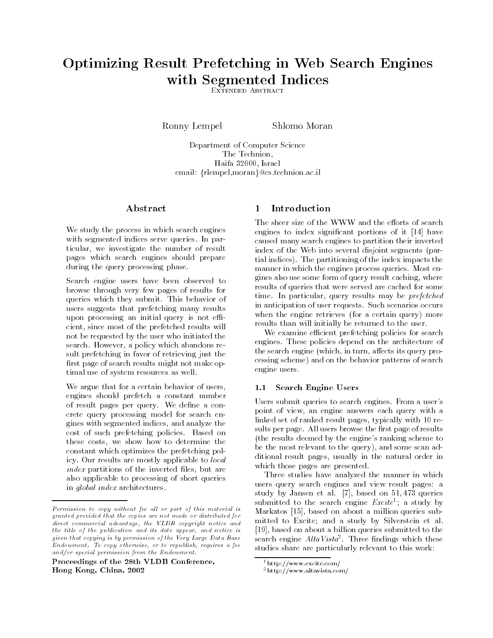# Optimizing Result Prefetching in Web Search Engineswith Segmented Indices

Extended Abstract

Ronny Lempel Shlomo Moran

Department of Computer Science The Technion, Haifa 32000, Israel email: frlempel,morang@cs.technion.ac.il

# Abstract

We study the process in which search engines with segmented indices serve queries. In particular, we investigate the number of result pages which search engines should prepare during the query processing phase.

Search engine users have been observed to browse through very few pages of results for queries which they submit. This behavior of users suggests that prefetching many results upon processing an initial query is not efficient, since most of the prefetched results will not be requested by the user who initiated the search. However, a policy which abandons result prefetching in favor of retrieving just the first page of search results might not make optimal use of system resources as well.

We argue that for a certain behavior of users, engines should prefetch a constant number of result pages per query. We define a concrete query processing model for search engines with segmented indices, and analyze the cost of such prefetching policies. Based on these costs, we show how to determine the constant which optimizes the prefetching policy. Our results are mostly applicable to local index partitions of the inverted files, but are also applicable to processing of short queries in global index architectures.

Proceedings of the 28th VLDB Conference,Hong Kong, China, 2002

#### Introduction  $\mathbf 1$

The sheer size of the WWW and the efforts of search engines to index signicant portions of it [14] have caused many search engines to partition their inverted index of the Web into several disjoint segments (partial indices). The partitioning of the index impacts the manner in which the engines process queries. Most engines also use some form of query result caching, where results of queries that were served are cached for some time. In particular, query results may be *prefetched* in anticipation of user requests. Such scenarios occurs when the engine retrieves (for a certain query) more results than will initially be returned to the user.

We examine efficient prefetching policies for search engines. These policies depend on the architecture of the search engine (which, in turn, affects its query processing scheme) and on the behavior patterns of search engine users.

# 1.1 Search Engine Users

Users submit queries to search engines. From a user's point of view, an engine answers each query with a linked set of ranked result pages, typically with 10 results per page. All users browse the first page of results (the results deemed by the engine's ranking scheme to be the most relevant to the query), and some scan additional result pages, usually in the natural order in which those pages are presented.

Three studies have analyzed the manner in which users query search engines and view result pages: a study by Jansen et al. [7], based on 51; 473 queries submitted to the search engine  $\emph{excite}$  ; a study by Markatos [15], based on about a million queries submitted to Excite; and a study by Silverstein et al. [19], based on about a billion queries submitted to the search engine *AltaVista* . Inree findings which these studies share are particularly relevant to this work:

Permission to copy without fee all or part of this material is granted provided that the copies are not made or distributed fordirect commercial advantage, the VLDB copyright notice andthe title of the publication and its date appear, and notice isgiven that copying is by permission of the Very Large Data BaseEndowment. To copy otherwise, or to republish, requires a feeand/or special permission from the Endowment.

<sup>1</sup>http://www.excite.com/

<sup>2</sup>http://www.altavista.com/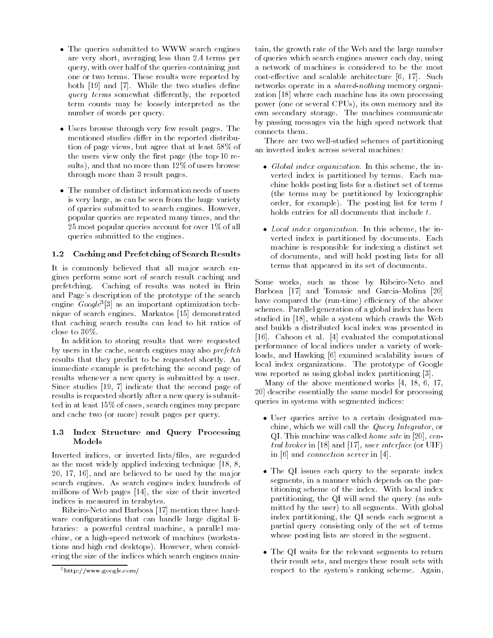- The queries submitted to WWW search engines are very short, averaging less than 2:4 terms per query, with over half of the queries containing just one or two terms. These results were reported by both [19] and [7]. While the two studies define query terms somewhat differently, the reported term counts may be loosely interpreted as the number of words per query.
- Users browse through very few result pages. The mentioned studies differ in the reported distribution of page views, but agree that at least 58% of the users view only the first page (the top-10 results), and that no more than 12% of users browse through more than 3 result pages.
- The number of distinct information needs of users is very large, as can be seen from the huge variety of queries submitted to search engines. However, popular queries are repeated many times, and the 25 most popular queries account for over 1% of all queries submitted to the engines.

#### 1.2 Caching and Prefetching of Search Results

It is commonly believed that all major search engines perform some sort of search result caching and prefetching. Caching of results was noted in Brin and Page's description of the prototype of the search engine G*oogle*" [3] as an important optimization technique of search engines. Markatos [15] demonstrated that caching search results can lead to hit ratios of close to 30%.

In addition to storing results that were requested by users in the cache, search engines may also *prefetch* results that they predict to be requested shortly. An immediate example is prefetching the second page of results whenever a new query is submitted by a user. Since studies [19, 7] indicate that the second page of results is requested shortly after a new query is submitted in at least 15% of cases, search engines may prepare and cache two (or more) result pages per query.

# 1.3 Index Structure and Query Processing Models

Inverted indices, or inverted lists/files, are regarded as the most widely applied indexing technique [18, 8, 20, 17, 16], and are believed to be used by the major search engines. As search engines index hundreds of millions of Web pages [14], the size of their inverted indices is measured in terabytes.

Ribeiro-Neto and Barbosa [17] mention three hard ware congurations that can handle large digital libraries: a powerful central machine, a parallel machine, or a high-speed network of machines (workstations and high end desktops). However, when considering the size of the indices which search engines maintain, the growth rate of the Web and the large number of queries which search engines answer each day, using a network of machines is considered to be the most  $\cos t$ -effective and scalable architecture [6, 17]. Such networks operate in a shared-nothing memory organization [18] where each machine has its own processing power (one or several CPUs), its own memory and its own secondary storage. The machines communicate by passing messages via the high speed network that connects them.

There are two well-studied schemes of partitioning an inverted index across several machines:

- Global index organization. In this scheme, the inverted index is partitioned by terms. Each machine holds posting lists for a distinct set of terms (the terms may be partitioned by lexicographic order, for example). The posting list for term  $t$ holds entries for all documents that include t.
- Local index organization. In this scheme, the inverted index is partitioned by documents. Each machine is responsible for indexing a distinct set of documents, and will hold posting lists for all terms that appeared in its set of documents.

Some works, such as those by Ribeiro-Neto and Barbosa [17] and Tomasic and Garcia-Molina [20] have compared the (run-time) efficiency of the above schemes. Parallel generation of a global index has been studied in [18], while a system which crawls the Web and builds a distributed local index was presented in [16]. Cahoon et al. [4] evaluated the computational performance of local indices under a variety of workloads, and Hawking [6] examined scalability issues of local index organizations. The prototype of Google was reported as using global index partitioning [3].

Many of the above mentioned works [4, 18, 6, 17, Many of the above mentioned works [4, 18, 6, 17, 20] describe essentially the same model for processing queries in systems with segmented indices:

- User queries arrive to a certain designated machine, which we will call the Query Integrator, or QI. This machine was called *home site* in [20], central broker in [18] and [17], user interface (or UIF) in [6] and connection server in [4].
- The QI issues each query to the separate index segments, in a manner which depends on the partitioning scheme of the index. With local index partitioning, the QI will send the query (as submitted by the user) to all segments. With global index partitioning, the QI sends each segment a partial query consisting only of the set of terms whose posting lists are stored in the segment.
- The QI waits for the relevant segments to return their result sets, and merges these result sets with respect to the system's ranking scheme. Again,

<sup>3</sup>http://www.google.com/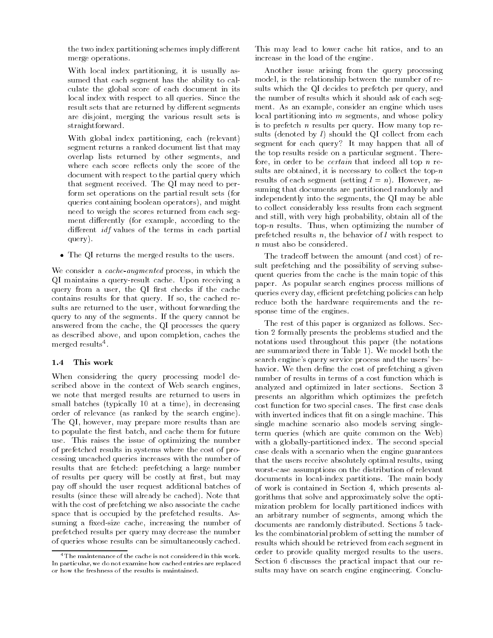the two index partitioning schemes imply different merge operations.

With local index partitioning, it is usually assumed that each segment has the ability to calculate the global score of each document in its local index with respect to all queries. Since the result sets that are returned by different segments are disjoint, merging the various result sets is straightforward. straightforward.

With global index partitioning, each (relevant) segment returns a ranked document list that may overlap lists returned by other segments, and where each score reflects only the score of the document with respect to the partial query which that segment received. The QI may need to perform set operations on the partial result sets (for queries containing boolean operators), and might need to weigh the scores returned from each seg ment differently (for example, according to the different  $\mathcal{U}f$  values of the terms in each partial query).

The QI returns the merged results to the users.

We consider a *cache-augmented* process, in which the QI maintains a query-result cache. Upon receiving a query from a user, the QI first checks if the cache contains results for that query. If so, the cached results are returned to the user, without forwarding the query to any of the segments. If the query cannot be answered from the cache, the QI processes the query as described above, and upon completion, caches the merged results .

# 1.4 This work

When considering the query processing model described above in the context of Web search engines, we note that merged results are returned to users in small batches (typically 10 at a time), in decreasing order of relevance (as ranked by the search engine). The QI, however, may prepare more results than are to populate the first batch, and cache them for future use. This raises the issue of optimizing the number of prefetched results in systems where the cost of processing uncached queries increases with the number of results that are fetched: prefetching a large number of results per query will be costly at first, but may pay off should the user request additional batches of results (since these will already be cached). Note that with the cost of prefetching we also associate the cache space that is occupied by the prefetched results. Assuming a fixed-size cache, increasing the number of prefetched results per query may decrease the number of queries whose results can be simultaneously cached.

This may lead to lower cache hit ratios, and to an increase in the load of the engine.

Another issue arising from the query processing model, is the relationship between the number of results which the QI decides to prefetch per query, and the number of results which it should ask of each seg ment. As an example, consider an engine which uses local partitioning into  $m$  segments, and whose policy is to prefetch n results per query. How many top results (denoted by  $l$ ) should the QI collect from each segment for each query? It may happen that all of the top results reside on a particular segment. Therefore, in order to be *certain* that indeed all top  $n$  results are obtained, it is necessary to collect the top-n results of each segment (setting  $l = n$ ). However, assuming that documents are partitioned randomly and independently into the segments, the QI may be able to collect considerably less results from each segment and still, with very high probability, obtain all of the top- $n$  results. Thus, when optimizing the number of prefetched results  $n$ , the behavior of  $l$  with respect to n must also be considered.

The tradeoff between the amount (and cost) of result prefetching and the possibility of serving subsequent queries from the cache is the main topic of this paper. As popular search engines process millions of queries every day, efficient prefetching policies can help reduce both the hardware requirements and the response time of the engines.

The rest of this paper is organized as follows. Section 2 formally presents the problems studied and the notations used throughout this paper (the notations are summarized there in Table 1). We model both the search engine's query service process and the users' behavior. We then define the cost of prefetching a given number of results in terms of a cost function which is analyzed and optimized in later sections. Section 3 presents an algorithm which optimizes the prefetch cost function for two special cases. The first case deals with inverted indices that fit on a single machine. This single machine scenario also models serving singleterm queries (which are quite common on the Web) with a globally-partitioned index. The second special case deals with a scenario when the engine guarantees that the users receive absolutely optimal results, using worst-case assumptions on the distribution of relevant documents in local-index partitions. The main body of work is contained in Section 4, which presents algorithms that solve and approximately solve the optimization problem for locally partitioned indices with an arbitrary number of segments, among which the documents are randomly distributed. Sections 5 tackles the combinatorial problem of setting the number of results which should be retrieved from each segment in order to provide quality merged results to the users. Section 6 discusses the practical impact that our results may have on search engine engineering. Conclu-

<sup>4</sup>The maintenance of the cache is not considered in this work. In particular, we do not examine how cached entries are replaced or how the freshness of the results is maintained.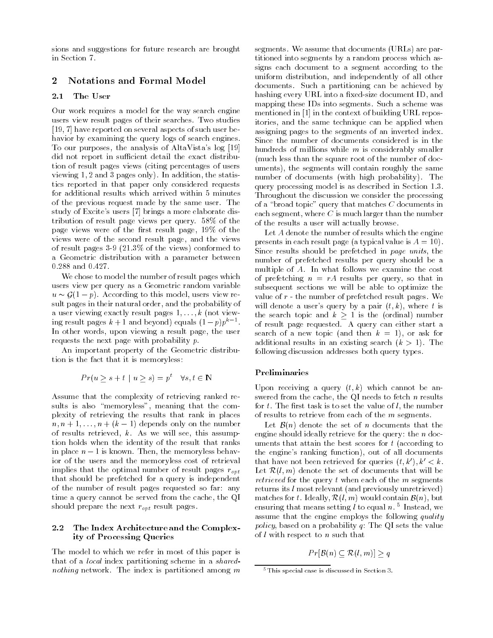sions and suggestions for future research are brought in Section 7.

# 2 Notations and Formal Model

### 2.1 The User

Our work requires a model for the way search engine users view result pages of their searches. Two studies [19, 7] have reported on several aspects of such user behavior by examining the query logs of search engines. To our purposes, the analysis of AltaVista's log [19] did not report in sufficient detail the exact distribution of result pages views (citing percentages of users viewing 1; 2 and 3 pages only). In addition, the statistics reported in that paper only considered requests for additional results which arrived within 5 minutes of the previous request made by the same user. The study of Excite's users [7] brings a more elaborate distribution of result page views per query. 58% of the page views were of the first result page, 19% of the views were of the second result page, and the views of result pages 3-9 (21:3% of the views) conformed to a Geometric distribution with a parameter between 0:288 and 0:427.

We chose to model the number of result pages which users view per query as a Geometric random variable  $u \sim \mathcal{G}(1 - p)$ . According to this model, users view result pages in their natural order, and the probability of a user viewing exactly result pages  $1, \ldots, k$  (not viewing result pages  $k+1$  and beyond) equals  $(1-p)p^k$ . In other words, upon viewing a result page, the user requests the next page with probability p.

An important property of the Geometric distribution is the fact that it is memoryless:

$$
Pr(u \ge s + t \mid u \ge s) = p^t \quad \forall s, t \in \mathbb{N}
$$

Assume that the complexity of retrieving ranked results is also "memoryless", meaning that the complexity of retrieving the results that rank in places  $n, n+1, \ldots, n+(k-1)$  depends only on the number of results retrieved,  $k$ . As we will see, this assumption holds when the identity of the result that ranks in place  $n-1$  is known. Then, the memoryless behavior of the users and the memoryless cost of retrieval implies that the optimal number of result pages  $r_{opt}$ that should be prefetched for a query is independent of the number of result pages requested so far: any time a query cannot be served from the cache, the QI should prepare the next  $r_{opt}$  result pages.

## 2.2 The Index Architecture and the Complexity of Processing Queries

The model to which we refer in most of this paper is that of a local index partitioning scheme in a sharednothing network. The index is partitioned among m segments. We assume that documents (URLs) are partitioned into segments by a random process which assigns each document to a segment according to the uniform distribution, and independently of all other documents. Such a partitioning can be achieved by hashing every URL into a fixed-size document ID, and mapping these IDs into segments. Such a scheme was mentioned in [1] in the context of building URL repositories, and the same technique can be applied when assigning pages to the segments of an inverted index. Since the number of documents considered is in the hundreds of millions while  $m$  is considerably smaller (much less than the square root of the number of doc uments), the segments will contain roughly the same number of documents (with high probability). The query processing model is as described in Section 1.3. Throughout the discussion we consider the processing of a "broad topic" query that matches  $C$  documents in each segment, where  $C$  is much larger than the number of the results a user will actually browse.

Let A denote the number of results which the engine presents in each result page (a typical value is  $A = 10$ ). Since results should be prefetched in page units, the number of prefetched results per query should be a multiple of A. In what follows we examine the cost of prefetching  $n = rA$  results per query, so that in subsequent sections we will be able to optimize the value of  $r$  - the number of prefetched result pages. We will denote a user's query by a pair  $(t, k)$ , where t is the search topical topical and k  $1$  is the (ordinal) number and k  $1$  is the (ordinal) number of  $\alpha$ of result page requested. A query can either start a search of a new topic (and then  $k = 1$ ), or ask for additional results in an existing search  $(k > 1)$ . The following discussion addresses both query types.

### Preliminaries

Upon receiving a query  $(t, k)$  which cannot be answered from the cache, the QI needs to fetch  $n$  results for  $t$ . The first task is to set the value of  $l$ , the number of results to retrieve from each of the m segments.

 $\mathcal{L}$  . The set of n documents that the set of n documents that the set of n documents that the set of n documents that the set of n documents that the set of n documents that the set of n documents that the set of n d engine should ideally retrieve for the query: the  $n$  documents that attain the best scores for  $t$  (according to the engine's ranking function), out of all documents that have not been retrieved for queries  $(t, k'), k' < k$ . Let  $\mathcal{R}(l, m)$  denote the set of documents that will be *retrieved* for the query t when each of the  $m$  segments returns its l most relevant (and previously unretrieved) matches for t. Ideally,  $\mathcal{R}(l,m)$  would contain  $\mathcal{B}(n)$ , but ensuring that means setting  $\iota$  to equal  $n$  . Thistead, we assume that the engine employs the following quality policy, based on a probability  $q$ : The QI sets the value of l with respect to n such that

 $Pr[\mathcal{B}(n) \subseteq \mathcal{R}(l, m)] \geq q$ 

<sup>5</sup>This special case is discussed in Section 3.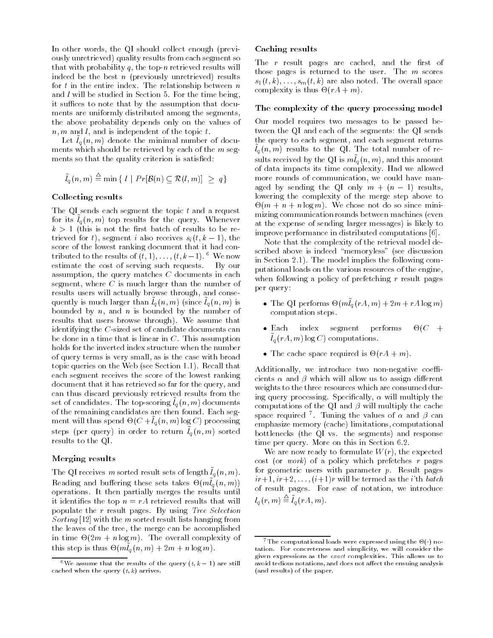In other words, the QI should collect enough (previously unretrieved) quality results from each segment so that with probability  $q$ , the top-n retrieved results will indeed be the best  $n$  (previously unretrieved) results for  $t$  in the entire index. The relationship between  $n$ and *l* will be studied in Section 5. For the time being, it suffices to note that by the assumption that documents are uniformly distributed among the segments, the above probability depends only on the values of  $n, m$  and l, and is independent of the topic  $t$ .

Let  $\iota_q(n,m)$  denote the minimal number of documents which should be retrieved by each of the  $m$  segments so that the quality criterion is satisfied:

$$
\tilde{l}_q(n,m) \stackrel{\triangle}{=} \min\{ l \mid Pr[\mathcal{B}(n) \subseteq \mathcal{R}(l,m)] \geq q \}
$$

### Collecting results

The QI sends each segment the topic t and a request for its  $c_q(n, m)$  top results for the query. Whenever  $k > 1$  (this is not the first batch of results to be retrieved for t), segment i also receives  $s_i(t, k-1)$ , the score of the lowest ranking document that it had contributed to the results of  $(t, 1), \ldots, (t, k-1)$ . <sup>6</sup> We now estimate the cost of serving such requests. By our assumption, the query matches  $C$  documents in each segment, where  $C$  is much larger than the number of results users will actually browse through, and consequently is much larger than  $c_q(n, m)$  (since  $c_q(n, m)$  is bounded by  $n$ , and  $n$  is bounded by the number of results that users browse through). We assume that identifying the C-sized set of candidate documents can be done in a time that is linear in  $C$ . This assumption holds for the inverted index structure when the number of query terms is very small, as is the case with broad topic queries on the Web (see Section 1.1). Recall that each segment receives the score of the lowest ranking document that it has retrieved so far for the query, and can thus discard previously retrieved results from the set of candidates. The top-scoring  $c_q(n,m)$  documents of the remaining candidates are then found. Each seg  $m_{\text{eff}}$  will thus spend  $O(U + \ell_q(n, m))$  log  $O$  processing steps (per query) in order to return  $\ell_q(n,m)$  sorted results to the QI.

# Merging results

The QI receives *m* sorted result sets of length  $l_q(n,m)$ .  $R_{\text{equation}}$  and buncting these sets takes  $O(m_e/a, m)$ operations. It then partially merges the results until it identifies the top  $n = rA$  retrieved results that will populate the r result pages. By using Tree Selection Sorting  $[12]$  with the m sorted result lists hanging from the leaves of the tree, the merge can be accomplished in time -(2m + n logm). The overall complexity of this step is thus  $O(m a<sub>g</sub> (n, m) + 2m + n \log m)$ .

### Caching results

The  $r$  result pages are cached, and the first of those pages is returned to the user. The m scores  $s_1(t, k), \ldots, s_m(t, k)$  are also noted. The overall space complexity is the second - (rate of the  $\mathcal{C}$ 

### The complexity of the query processing model

Our model requires two messages to be passed between the QI and each of the segments: the QI sends the query to each segment, and each segment returns  $\iota_{g}(n,m)$  results to the Qr. The total number of results received by the QI is  $m_q(n, m)$ , and this amount of data impacts its time complexity. Had we allowed more rounds of communication, we could have managed by sending the QI only  $m + (n - 1)$  results, lowering the complexity of the merge step above to -(m + n + n logm). We chose not do so since minimizing communication rounds between machines (even at the expense of sending larger messages) is likely to improve performance in distributed computations [6].

Note that the complexity of the retrieval model described above is indeed \memoryless" (see discussion in Section 2.1). The model implies the following computational loads on the various resources of the engine, when following a policy of prefetching  $r$  result pages per query:

- $\bullet$  The QI performs  $O(m_q(rA,m) + 2m + rA \log m)$ computation steps.
- Each index segment performs  $\Theta(C +$  $\iota_g$  (r  $\pi$  , m) log  $\cup$  ) computations.
- The case of the case of the case of the space of the case of the case of the case of the case of the case of t

Additionally, we introduce two non-negative coefficients  $\alpha$  and  $\beta$  which will allow us to assign different weights to the three resources which are consumed during query processing. Specifically,  $\alpha$  will multiply the computations of the QI and  $\beta$  will multiply the cache space required  $\,$  . Tuning the values of  $\alpha$  and  $\beta$  can emphasize memory (cache) limitations, computational bottlenecks (the QI vs. the segments) and response time per query. More on this in Section 6.2.

We are now ready to formulate  $W(r)$ , the expected cost (or *work*) of a policy which prefetches  $r$  pages for geometric users with parameter  $p$ . Result pages  $ir+1, ir+2, \ldots, (i+1)r$  will be termed as the *i*'th *batch* of result pages. For ease of notation, we introduce  $l_q(r, m) \equiv l_q(rA, m)$ .

<sup>&</sup>lt;sup>6</sup>We assume that the results of the query  $(t, k - 1)$  are still cached when the query  $(t, k)$  arrives.

 $\cdot$  rie computational loads were expressed using the  $\Theta(\cdot)$  notation. For concreteness and simplicity, we will consider the given expressions as the exact complexities. This allows us to avoid tedious notations, and does not affect the ensuing analysis (and results) of the paper.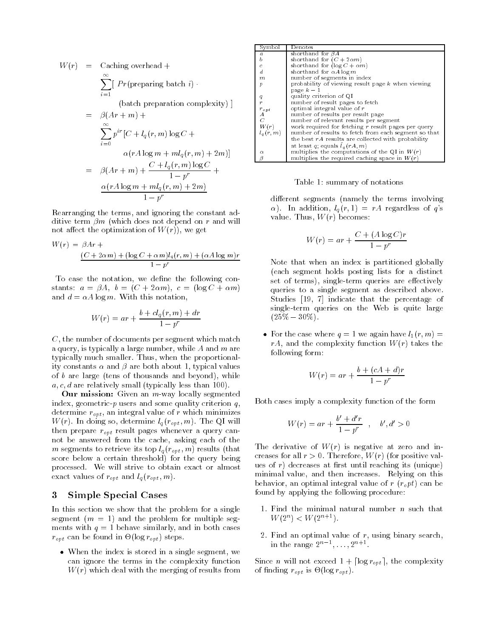$$
W(r) = \text{Caching overhead} + \sum_{i=1}^{\infty} [Pr(\text{preparing batch } i) \cdot \text{(batch preparation complexity)}]
$$
\n
$$
= \beta(Ar + m) + \sum_{i=0}^{\infty} p^{ir} [C + l_q(r, m) \log C + \alpha(rA \log m + ml_q(r, m) + 2m)]
$$
\n
$$
= \beta(Ar + m) + \frac{C + l_q(r, m) \log C}{1 - p^r} + \frac{\alpha(rA \log m + ml_q(r, m) + 2m)}{1 - p^r}
$$

Rearranging the terms, and ignoring the constant additive term  $\beta m$  (which does not depend on r and will not affect the optimization of  $W(r)$ , we get

$$
W(r) = \beta A r +
$$
  

$$
\frac{(C + 2\alpha m) + (\log C + \alpha m)l_q(r, m) + (\alpha A \log m)r}{1 - p^r}
$$

To ease the notation, we define the following constants:  $a = \beta A$ ,  $b = (C + 2\alpha m)$ ,  $c = (\log C + \alpha m)$ and  $d = \alpha A \log m$ . With this notation,

$$
W(r) = ar + \frac{b + cl_q(r, m) + dr}{1 - p^r}
$$

C, the number of documents per segment which match a query, is typically a large number, while  $A$  and  $m$  are typically much smaller. Thus, when the proportionality constants  $\alpha$  and  $\beta$  are both about 1, typical values of b are large (tens of thousands and beyond), while  $a, c, d$  are relatively small (typically less than 100).

Our mission: Given an *m*-way locally segmented index, geometric-p users and some quality criterion  $q$ , determine  $r_{opt}$ , an integral value of r which minimizes  $W(r)$ . In doing so, determine  $l_q(r_{opt}, m)$ . The QI will then prepare  $r_{opt}$  result pages whenever a query cannot be answered from the cache, asking each of the m segments to retrieve its top  $l_q(r_{opt}, m)$  results (that score below a certain threshold) for the query being processed. We will strive to obtain exact or almost exact values of  $r_{opt}$  and  $l_q(r_{opt}, m)$ .

#### 3 Simple Special Cases

In this section we show that the problem for a single segment  $(m = 1)$  and the problem for multiple segments with  $q = 1$  behave similarly, and in both cases r *opt* can be found in the case of the found in a step step in the found of the found in the found in the found of

 When the index is stored in a single segment, we can ignore the terms in the complexity function  $W(r)$  which deal with the merging of results from

| Symbol                         | Denotes                                              |
|--------------------------------|------------------------------------------------------|
| $\boldsymbol{a}$               | shorthand for $\beta A$                              |
| h                              | shorthand for $(C + 2\alpha m)$                      |
|                                | shorthand for $(\log C + \alpha m)$                  |
| d                              | shorthand for $\alpha A \log m$                      |
| m                              | number of segments in index                          |
| р                              | probability of viewing result page k when viewing    |
|                                | page $k-1$                                           |
| q                              | quality criterion of QI                              |
| $\boldsymbol{r}$               | number of result pages to fetch                      |
|                                | optimal integral value of $r$                        |
| $\stackrel{r_o}{A}{}^{\!\!pt}$ | number of results per result page                    |
| $\cal C$                       | number of relevant results per segment               |
| W(r)                           | work required for fetching r result pages per query  |
| $l_q(r, m)$                    | number of results to fetch from each segment so that |
|                                | the best $rA$ results are collected with probability |
|                                | at least q; equals $l_q(rA,m)$                       |
| $\alpha$                       | multiplies the computations of the QI in $W(r)$      |
| β                              | multiplies the required caching space in $W(r)$      |

Table 1: summary of notations

different segments (namely the terms involving  $\alpha$ ). In addition,  $l_q(r, 1) = rA$  regardless of q's value. Thus,  $W(r)$  becomes:

$$
W(r) = ar + \frac{C + (A \log C)r}{1 - p^r}
$$

Note that when an index is partitioned globally (each segment holds posting lists for a distinct set of terms), single-term queries are effectively queries to a single segment as described above. Studies [19, 7] indicate that the percentage of single-term queries on the Web is quite large (25% 30%).

• For the case where  $q = 1$  we again have  $l_1(r, m) =$  $rA$ , and the complexity function  $W(r)$  takes the following form:

$$
W(r) = ar + \frac{b + (cA + d)r}{1 - p^r}
$$

Both cases imply a complexity function of the form

$$
W(r) = ar + \frac{b' + d'r}{1 - p^r} , \quad b', d' > 0
$$

The derivative of  $W(r)$  is negative at zero and increases for all  $r > 0$ . Therefore,  $W(r)$  (for positive values of  $r$ ) decreases at first until reaching its (unique) minimal value, and then increases. Relying on this behavior, an optimal integral value of  $r(r_0pt)$  can be found by applying the following procedure:

- 1. Find the minimal natural number  $n$  such that  $W(2^n) \leq W(2^{n+1}).$
- 2. Find an optimal value of  $r$ , using binary search, in the range  $2^{n+1}, \ldots, 2^{n+1}$ .

Since *n* will not exceed  $1 + \lceil \log r_{opt} \rceil$ , the complexity a vive the vive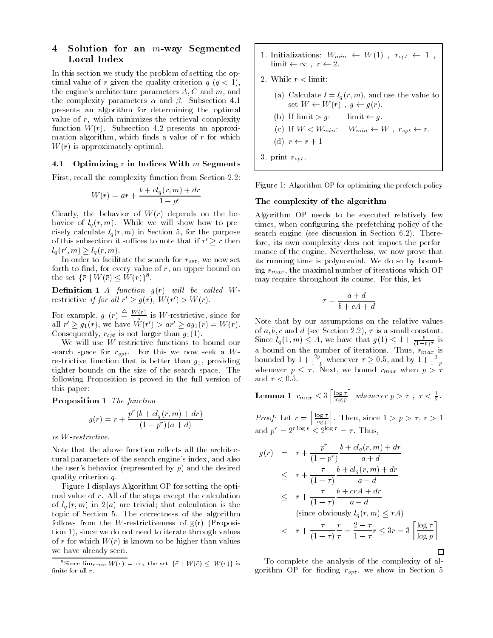# 4 Solution for an  $m$ -way Segmented Local Index

In this section we study the problem of setting the optimal value of r given the quality criterion  $q \ (q \ < 1)$ , the engine's architecture parameters  $A, C$  and  $m$ , and the complexity parameters  $\alpha$  and  $\beta$ . Subsection 4.1 presents an algorithm for determining the optimal value of  $r$ , which minimizes the retrieval complexity function  $W(r)$ . Subsection 4.2 presents an approximation algorithm, which finds a value of  $r$  for which  $W(r)$  is approximately optimal.

#### $4.1$ Optimizing  $r$  in Indices With  $m$  Segments

First, recall the complexity function from Section 2.2:

$$
W(r) = ar + \frac{b + cl_q(r, m) + dr}{1 - p^r}
$$

Clearly, the behavior of  $W(r)$  depends on the behavior of  $l_a(r, m)$ . While we will show how to precisely calculate  $l_q(r, m)$  in Section 5, for the purpose of this subsection it suffices to note that if  $r > r$  then  $l_q(r, m) \geq l_q(r, m)$ .

In order to facilitate the search for  $r_{opt}$ , we now set forth to find, for every value of  $r$ , an upper bound on the set  $\{r \mid W(r) \leq W(r)\}^{\infty}$ .

**Definition 1** A function  $g(r)$  will be called Wrestrictive *if for all*  $r > q(r)$ *, W(r)*  $> W(r)$ *.* 

For example,  $g_1(r) \equiv \frac{W(r)}{a}$  is W-restrictive, since for all  $r > g_1(r)$ , we have  $W(r) > ar > a g_1(r) = W(r)$ . Consequently,  $r_{opt}$  is not larger than  $g_1(1)$ .

We will use W-restrictive functions to bound our search space for  $r_{opt}$ . For this we now seek a Wrestrictive function that is better than  $g_1$ , providing tighter bounds on the size of the search space. The following Proposition is proved in the full version of this paper:

Proposition 1 The function

$$
g(r) = r + \frac{p^{r} (b + cl_q(r, m) + dr)}{(1 - p^{r}) (a + d)}
$$

is W-restrictive.

Note that the above function reflects all the architectural parameters of the search engine's index, and also the user's behavior (represented by  $p$ ) and the desired quality criterion q.

Figure 1 displays Algorithm OP for setting the optimal value of r. All of the steps except the calculation of  $l_q(r, m)$  in  $2(a)$  are trivial; that calculation is the topic of Section 5. The correctness of the algorithm follows from the W-restrictiveness of  $g(r)$  (Proposition 1), since we do not need to iterate through values of r for which  $W(r)$  is known to be higher than values we have already seen.

- 1. Initializations:  $W_{min} \leftarrow W(1)$ ,  $r_{opt} \leftarrow 1$ , limit  $\leftarrow \infty$ ,  $r \leftarrow 2$ .
- 2. While  $r <$  limit:
	- (a) Calculate  $l = l_q(r, m)$ , and use the value to set  $W \leftarrow W(r)$ ,  $g \leftarrow g(r)$ .
	- (b) If  $\lim_{x \to g} f(x) = \lim_{x \to g} f(x)$
	- (c) If  $W < W_{min}$ :  $W_{min} \leftarrow W$ ,  $r_{opt} \leftarrow r$ .
- (d)  $r \leftarrow r + 1$  $\mathbf{d}$  r  $\mathbf{d}$  r  $\mathbf{d}$  r  $\mathbf{d}$  r  $\mathbf{d}$  r  $\mathbf{d}$  r  $\mathbf{d}$  r  $\mathbf{d}$  r  $\mathbf{d}$  r  $\mathbf{d}$  r  $\mathbf{d}$  r  $\mathbf{d}$  r  $\mathbf{d}$  r  $\mathbf{d}$  r  $\mathbf{d}$  r  $\mathbf{d}$  r  $\mathbf{d}$  r  $\mathbf{d}$  r  $\mathbf{d}$  r  $\mathbf{d}$  r
- 3. print  $r_{opt}$ .

Figure 1: Algorithm OP for optimizing the prefetch policy

### The complexity of the algorithm

Algorithm OP needs to be executed relatively few times, when configuring the prefetching policy of the search engine (see discussion in Section 6.2). Therefore, its own complexity does not impact the performance of the engine. Nevertheless, we now prove that its running time is polynomial. We do so by bounding  $r_{max}$ , the maximal number of iterations which OP may require throughout its course. For this, let

$$
\tau = \frac{a+d}{b+cA+d}
$$

Note that by our assumptions on the relative values of a, b, c and d (see Section 2.2),  $\tau$  is a small constant. Since  $l_q(1,m) \leq A$ , we have that  $q(1) \leq 1 + \frac{p}{(1-p)^2}$  is (1p) bounded by  $1+\frac{2p}{1-p}$  whenever  $\tau \geq 0.5$ , and by  $1+\frac{1}{1-p}$ whenever p is a set of the bound results of the positive point  $\mathcal{P}$  and  $\mathcal{P}$  are point to the point of the point of the point of the point of the point of the point of the point of the point of the point of the po and  $\tau < 0.5$ .

**Lemma 1**  $r_{max} \leq 3 \left[ \frac{\log \tau}{\log p} \right]$  whenever  $p > \tau$  ,  $\tau < \frac{1}{2}$ .

Proof: Let r =  $\left\lceil \frac{\log \tau}{\log p} \right\rceil$ . Then, since  $1 > p > \tau$ ,  $r > 1$ and  $p' = 2^{r \log p} \le 2^{r \log r} = \tau$ . Thus,

$$
g(r) = r + \frac{p^r}{(1 - p^r)} \frac{b + cl_q(r, m) + dr}{a + d}
$$
  
\n
$$
\leq r + \frac{\tau}{(1 - \tau)} \frac{b + cl_q(r, m) + dr}{a + d}
$$
  
\n
$$
\leq r + \frac{\tau}{(1 - \tau)} \frac{b + crA + dr}{a + d}
$$
  
\n(since obviously  $l_q(r, m) \leq rA$ )  
\n
$$
< r + \frac{\tau}{(1 - \tau)} \frac{r}{\tau} = \frac{2 - \tau}{1 - \tau} r \leq 3r = 3 \left[ \frac{\log \tau}{\log p} \right]
$$

To complete the analysis of the complexity of algorithm OP for finding  $r_{opt}$ , we show in Section 5

<sup>&</sup>lt;sup>8</sup>Since  $\lim_{r\to\infty} W(r) = \infty$ , the set  $\{\bar{r} \mid W(\bar{r}) \leq W(r)\}\$ is finite for all  $r$ .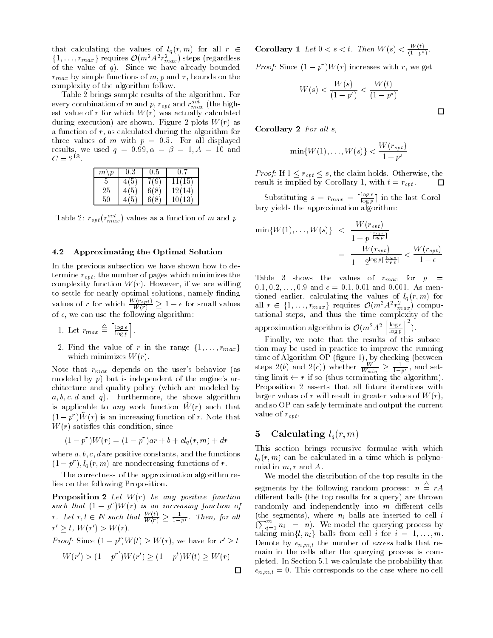that calculating the values of  $l_q(r, m)$  for all  $r \in$  $\{1,\ldots,r_{max}\}$  requires  $O(m^2A^2r_{max}^2)$  steps (regardless of the value of  $q$ ). Since we have already bounded  $r_{max}$  by simple functions of m, p and  $\tau$ , bounds on the complexity of the algorithm follow.

Table 2 brings sample results of the algorithm. For every combination of  $m$  and  $p, \, r_{opt}$  and  $r_{max}$  (the highest value of r for which  $W(r)$  was actually calculated during execution) are shown. Figure 2 plots  $W(r)$  as a function of  $r$ , as calculated during the algorithm for three values of  $m$  with  $p = 0.5$ . For all displayed results, we used  $q = 0.99, \alpha = \beta = 1, A = 10$  and  $C \equiv 2^{13}$ .

| $m\backslash p$ | 0.3  | 0.5  |        |
|-----------------|------|------|--------|
|                 | 4(5) | 79)  | 11(15) |
| 25              | 4(5) | 6(8) | 12(14) |
| 50              | 4(5) | 6(8) | 10(13) |

Table 2:  $r_{opt}(r_{max}$ ) values as a function of m and p

### 4.2 Approximating the Optimal Solution

In the previous subsection we have shown how to determine  $r_{opt}$ , the number of pages which minimizes the complexity function  $W(r)$ . However, if we are willing to settle for nearly optimal solutions, namely finding values of r for which  $\frac{W(r)-p(r)}{W(r)} \geq 1-\epsilon$  for small values of  $\epsilon$ , we can use the following algorithm:

1. Let 
$$
r_{max} \stackrel{\Delta}{=} \left\lceil \frac{\log \epsilon}{\log p} \right\rceil
$$
.

2. Find the value of r in the range  $\{1, \ldots, r_{max}\}\$ which minimizes  $W(r)$ .

Note that  $r_{max}$  depends on the user's behavior (as modeled by  $p$ ) but is independent of the engine's architecture and quality policy (which are modeled by  $a, b, c, d$  and q). Furthermore, the above algorithm is applicable to any work function  $W(r)$  such that  $(1 - p)$  *W*  $(r)$  is an increasing function of r. Note that  $W(r)$  satisfies this condition, since

$$
(1 - pr)W(r) = (1 - pr)ar + b + clq(r, m) + dr
$$

where  $a, b, c, d$  are positive constants, and the functions  $(1 - p)$ ,  $l_q (r, m)$  are nondecreasing functions of r.

The correctness of the approximation algorithm relies on the following Proposition.

**Proposition 2** Let  $W(r)$  be any positive function such that  $(1 - p^r)W(r)$  is an increasing function of r. Let  $r, t \in \mathbb{N}$  such that  $\frac{W(x)}{W(r)} \geq \frac{1}{1-p^t}$ . Then, for all  $r > t$ ,  $VV(T) > VV(T)$ .

*Proof:* Since 
$$
(1 - p^t)W(t) \ge W(r)
$$
, we have for  $r' \ge t$   
\n
$$
W(r') > (1 - p^{r'})W(r') \ge (1 - p^t)W(t) \ge W(r)
$$

**Corollary** 1 Let  $0 < s < t$ . Then  $W(s) < \frac{W(s)}{(1-p^s)}$ .

*Proof:* Since  $(1 - p^r)W(r)$  increases with r, we get

$$
W(s) < \frac{W(s)}{(1 - p^t)} < \frac{W(t)}{(1 - p^s)}
$$

 $\Box$ 

Corollary 2 For all  $s$ ,

$$
\min\{W(1),\ldots,W(s)\} < \frac{W(r_{opt})}{1-p^s}
$$

*Proof:* If  $1 \leq r_{opt} \leq s$ , the claim holds. Otherwise, the result is implied by Corollary 1, with  $t = r_{opt}$ .  $\Box$ 

Substituting  $s = r_{max} = \lfloor \frac{m_{max}}{\log p} \rfloor$  in the last Corollary yields the approximation algorithm:

$$
\min\{W(1),\ldots,W(s)\} \le \frac{W(r_{opt})}{1-p^{\lceil \frac{\log \epsilon}{\log p} \rceil}}
$$

$$
= \frac{W(r_{opt})}{1-2^{\log p\lceil \frac{\log \epsilon}{\log p} \rceil}} \le \frac{W(r_{opt})}{1-\epsilon}
$$

Table 3 shows the values of  $r_{max}$  for  $p =$  $0.1, 0.2, \ldots, 0.9$  and  $\epsilon = 0.1, 0.01$  and 0.001. As mentioned earlier, calculating the values of  $l_q(r, m)$  for all  $r \in \{1, \ldots, r_{max}\}$  requires  $O(m^2A^2r_{max}^2)$  compuapproximation algorithm is  $\mathcal{O}(m^2 A^2 \left[ \frac{\log \epsilon}{\log p} \right]^2)$ .

Finally, we note that the results of this subsection may be used in practice to improve the running steps 2(b) and 2(c)) whether  $\frac{W}{W_{min}} \ge \frac{1}{1-p^r}$ , and setting limit  $\leftarrow r$  if so (thus terminating the algorithm). Proposition 2 asserts that all future iterations with larger values of r will result in greater values of  $W(r)$ , and so OP can safely terminate and output the current value of  $r_{opt}$ .

# 5 Calculating  $l_q(r, m)$

This section brings recursive formulae with which  $l_q(r, m)$  can be calculated in a time which is polynomial in  $m, r$  and  $A$ .

We model the distribution of the top results in the segments by the following random process:  $n \triangleq rA$ different balls (the top results for a query) are thrown randomly and independently into  $m$  different cells (the segments), where  $n_i$  balls are inserted to cell i  $(\sum_{i=1}^{m} n_i = n)$ . We model the querying process by taking min $\{l, n_i\}$  balls from cell i for  $i = 1, \ldots, m$ . Denote by  $e_{n,m,l}$  the number of excess balls that remain in the cells after the querying process is completed. In Section 5.1 we calculate the probability that  $e_{n,m,l} = 0$ . This corresponds to the case where no cell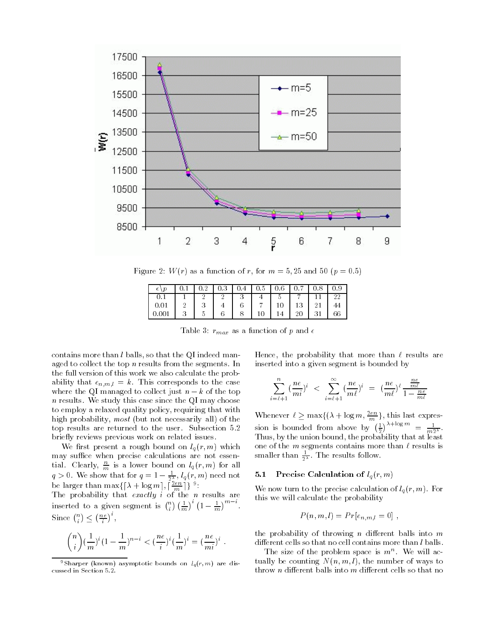

Figure 2:  $W(r)$  as a function of r, for  $m = 5, 25$  and 50 ( $p = 0.5$ )

|                  | . 2 | 0.3 | $\mathbf{A}$ | 06 |    | -8 | n o |
|------------------|-----|-----|--------------|----|----|----|-----|
| $\overline{0}$ . | ച   |     |              |    |    |    |     |
| 0.01             |     |     | ◠            |    | 13 |    |     |
|                  |     | ◠   |              |    |    |    |     |

Table 3:  $r_{max}$  as a function of p and  $\epsilon$ 

contains more than l balls, so that the QI indeed managed to collect the top  $n$  results from the segments. In the full version of this work we also calculate the probability that  $e_{n,m,l} = k$ . This corresponds to the case where the QI managed to collect just  $n - k$  of the top  $n$  results. We study this case since the QI may choose to employ a relaxed quality policy, requiring that with high probability, most (but not necessarily all) of the top results are returned to the user. Subsection 5.2 briefly reviews previous work on related issues.

We first present a rough bound on  $l_q(r, m)$  which tial. Clearly,  $\frac{n}{m}$  is a lower bound on  $l_q(r, m)$  for all  $q > 0$ . We show that for  $q = 1 - \frac{1}{2\lambda}, l_q(r, m)$  need not be larger than  $\max\{|\lambda + \log m|, |\frac{2m}{m}| \}$ .

The probability that exactly i of the n results are inserted to a given segment is  $\binom{n}{i} \left(\frac{1}{m}\right)^i \left(1-\frac{1}{m}\right)^{m-i}$ . Since  $\binom{n}{i} \leq \left(\frac{n e}{i}\right)^i$ ,

$$
\binom{n}{i} (\frac{1}{m})^i (1 - \frac{1}{m})^{n-i} < (\frac{ne}{i})^i (\frac{1}{m})^i = (\frac{ne}{mi})^i .
$$

Hence, the probability that more than  $\ell$  results are inserted into a given segment is bounded by

$$
\sum_{i=\ell+1}^{n} \left(\frac{ne}{mi}\right)^i \le \sum_{i=\ell+1}^{\infty} \left(\frac{ne}{m\ell}\right)^i = \left(\frac{ne}{m\ell}\right)^{\ell} \frac{\frac{ne}{m\ell}}{1 - \frac{ne}{m\ell}}
$$

Whenever  $\ell \geq \max\{\frac{\lambda + \log m}{m}\}\$ , this last expression is bounded from above by the from above by the settlement of the settlement of the settlement of the settlement of the settlement of the settlement of the settlement of the settlement of the settlement of the settleme  $\left(\frac{1}{2}\right)^{\lambda + \log m} = \frac{1}{m2^{\lambda}}$ . Thus, by the union bound, the probability that at least one of the  $m$  segments contains more than  $\ell$  results is smaller than  $\frac{1}{2\lambda}$ . The results follow.

### 5.1 Precise Calculation of  $l_q(r, m)$

We now turn to the precise calculation of  $l_q(r, m)$ . For this we will calculate the probability

$$
P(n, m, l) = Pr[e_{n, m, l} = 0],
$$

the probability of throwing *n* different balls into  $m$ different cells so that no cell contains more than  $l$  balls.

The size of the problem space is  $m$ . We will actually be counting  $N(n, m, l)$ , the number of ways to throw *n* different balls into  $m$  different cells so that no

<sup>&</sup>lt;sup>9</sup>Sharper (known) asymptotic bounds on  $l_q(r, m)$  are discussed in Section 5.2.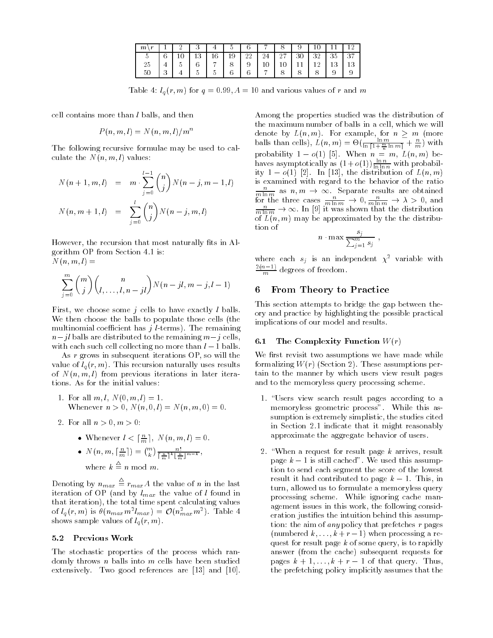| $\boldsymbol{m}$ |   |            |      |    |     |        |        | $\Omega$        | $-10 - 1$    | 11 1              | 12  |
|------------------|---|------------|------|----|-----|--------|--------|-----------------|--------------|-------------------|-----|
|                  | 6 | 13 I       | 16 I | 19 | 22. | 24 l   |        | 27   30         |              | $32 \mid 35 \mid$ | 137 |
|                  |   | $\sqrt{2}$ | ⇁    | 8  | 9   | $10-1$ | $10-1$ | 11 <sub>1</sub> | $12^{\circ}$ | 13                | 13  |
|                  |   |            |      | 6  |     |        |        |                 |              |                   |     |

Table 4:  $l_q(r, m)$  for  $q = 0.99, A = 10$  and various values of r and m

cell contains more than l balls, and then

$$
P(n, m, l) = N(n, m, l)/m^n
$$

The following recursive formulae may be used to calculate the  $N(n, m, l)$  values:

$$
N(n + 1, m, l) = m \cdot \sum_{j=0}^{l-1} {n \choose j} N(n - j, m - 1, l)
$$
  

$$
N(n, m + 1, l) = \sum_{j=0}^{l} {n \choose j} N(n - j, m, l)
$$

However, the recursion that most naturally fits in Algorithm OP from Section 4.1 is:  $N(n, m, l) =$ 

$$
\sum_{j=0}^{m} {m \choose j} {n \choose l, \dots, l, n-jl} N(n-jl, m-j, l-1)
$$

First, we choose some  $j$  cells to have exactly  $l$  balls. We then choose the balls to populate those cells (the multinomial coefficient has  $j$  l-terms). The remaining  $n-jl$  balls are distributed to the remaining  $m-j$  cells, with each such cell collecting no more than  $l - 1$  balls.

As r grows in subsequent iterations OP, so will the value of  $l_q(r, m)$ . This recursion naturally uses results of  $N(n, m, l)$  from previous iterations in later iterations. As for the initial values:

- 1. For all  $m, l, N(0, m, l) = 1$ . Whenever  $n > 0$ ,  $N(n, 0, l) = N(n, m, 0) = 0$ .
- 2. For all  $n > 0, m > 0$ :

• Whenever 
$$
l < \lceil \frac{n}{m} \rceil
$$
,  $N(n, m, l) = 0$ .

• 
$$
N(n, m, \lceil \frac{n}{m} \rceil) = \binom{m}{k} \frac{n!}{\lceil \frac{n}{m} \rceil^k \lfloor \frac{n}{m} \rfloor^{m-k}},
$$
  
where  $k \stackrel{\triangle}{=} n \mod m$ .

Denoting by  $n_{max} \stackrel{\Delta}{=} r_{max}A$  the value of n in the last iteration of OP (and by  $l_{max}$  the value of l found in that iteration), the total time spent calculating values of  $l_q(r,m)$  is  $\theta(n_{max}m^2 t_{max}) = O(n_{max}^2 m^2)$ . Table 4 shows sample values of  $l_q(r, m)$ .

### 5.2 Previous Work

The stochastic properties of the process which randomly throws  $n$  balls into  $m$  cells have been studied extensively. Two good references are [13] and [10]. Among the properties studied was the distribution of the maximum number of balls in a cell, which we will denote by  $L(n, m)$ . For example, for  $n > m$  (more balls than cells),  $L(n, m) = \Theta(\frac{n}{\ln\left[1+\frac{m}{n}\ln m\right]} + \frac{m}{m})$  with haves asymptotically as  $(1+o(1))\frac{\ln n}{\ln \ln n}$  with probability is a contract to the distribution of  $\mathcal{N}$ , the distribution of L(n; m), the distribution of  $\mathcal{N}$ is examined with regard to the behavior of the ratio  $\frac{m \ln m}{m \ln m}$  as  $n, m \to \infty$ . Separate results are obtained<br>for the three cases  $\frac{m \ln m}{m \ln m} \to 0$ ,  $\frac{n}{m \ln m} \to \lambda > 0$ , and<br> $\frac{n}{m \ln m} \to \infty$ . In [9] it was shown that the distribution of  $L(n, m)$  may be approximated by the the distribution of

$$
n \cdot \max \frac{s_j}{\sum_{j=1}^m s_j} ,
$$

where each  $s_i$  is an independent  $\chi^2$  variable with  $\frac{2(n-1)}{m}$  degrees of freedom.

# 6 From Theory to Practice

This section attempts to bridge the gap between theory and practice by highlighting the possible practical implications of our model and results.

# 6.1 The Complexity Function  $W(r)$

We first revisit two assumptions we have made while formalizing  $W(r)$  (Section 2). These assumptions pertain to the manner by which users view result pages and to the memoryless query processing scheme.

- 1. "Users view search result pages according to a memoryless geometric process". While this assumption is extremely simplistic, the studies cited in Section 2.1 indicate that it might reasonably approximate the aggregate behavior of users.
- 2. "When a request for result page  $k$  arrives, result page k a still cathed this still called this still called the still p tion to send each segment the score of the lowest result it had contributed to page  $k - 1$ . This, in turn, allowed us to formulate a memoryless query processing scheme. While ignoring cache management issues in this work, the following consideration justies the intuition behind this assumption: the aim of *any* policy that prefetches  $r$  pages (numbered  $k, \ldots, k + r - 1$ ) when processing a request for result page  $k$  of some query, is to rapidly answer (from the cache) subsequent requests for pages  $k + 1, \ldots, k + r - 1$  of that query. Thus, the prefetching policy implicitly assumes that the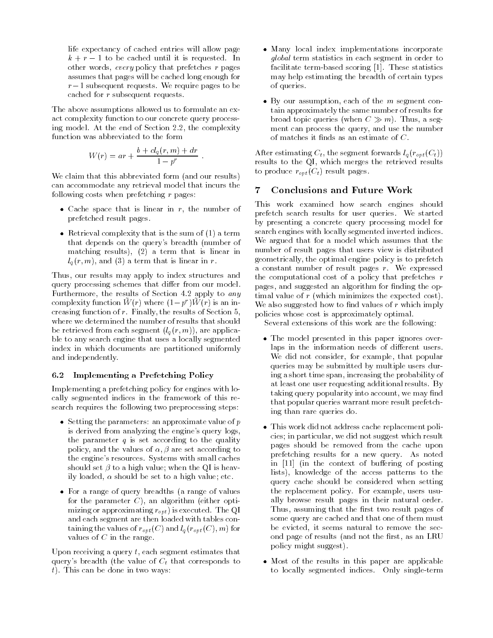life expectancy of cached entries will allow page k to be calculated. It is requested until it is requested. It is requested. It is requested. It is requested. I other words, every policy that prefetches r pages assumes that pages will be cached long enough for r 1 subsequent requests. We request request requests. We request request requests. We request request requests cached for r subsequent requests.

The above assumptions allowed us to formulate an exact complexity function to our concrete query processing model. At the end of Section 2.2, the complexity function was abbreviated to the form

$$
W(r) = ar + \frac{b + cl_q(r, m) + dr}{1 - p^r} .
$$

We claim that this abbreviated form (and our results) can accommodate any retrieval model that incurs the following costs when prefetching  $r$  pages:

- $\bullet$  Cache space that is linear in r, the number of prefetched result pages.
- Retrieval complexity that is the sum of  $(1)$  a term that depends on the query's breadth (number of matching results), (2) a term that is linear in  $l_q(r, m)$ , and (3) a term that is linear in r.

Thus, our results may apply to index structures and query processing schemes that differ from our model. Furthermore, the results of Section 4.2 apply to any complexity function  $\hat{W}(r)$  where  $(1-p^r)\hat{W}(r)$  is an increasing function of r. Finally, the results of Section 5, where we determined the number of results that should be retrieved from each segment  $(l_q(r, m))$ , are applicable to any search engine that uses a locally segmented index in which documents are partitioned uniformly and independently.

# 6.2 Implementing a Prefetching Policy

Implementing a prefetching policy for engines with locally segmented indices in the framework of this research requires the following two preprocessing steps:

- $\bullet$  Setting the parameters: an approximate value of p is derived from analyzing the engine's query logs, the parameter  $q$  is set according to the quality policy, and the values of  $\alpha$ ,  $\beta$  are set according to the engine's resources. Systems with small caches should set  $\beta$  to a high value; when the QI is heavily loaded,  $\alpha$  should be set to a high value; etc.
- For a range of query breadths (a range of values for the parameter  $C$ ), an algorithm (either optimizing or approximating  $r_{opt}$ ) is executed. The QI and each segment are then loaded with tables containing the values of  $r_{opt}(C)$  and  $l_q(r_{opt}(C), m)$  for values of  $C$  in the range.

Upon receiving a query  $t$ , each segment estimates that query's breadth (the value of  $C_t$  that corresponds to t). This can be done in two ways:

- Many local index implementations incorporate global term statistics in each segment in order to facilitate term-based scoring [1]. These statistics may help estimating the breadth of certain types of queries.
- $\bullet$  By our assumption, each of the *m* segment contain approximately the same number of results for broad topic queries (when  $C \gg m$ ). Thus, a segment can process the query, and use the number of matches it finds as an estimate of  $C$ .

After estimating  $C_t$ , the segment forwards  $l_q(r_{opt}(C_t))$ results to the QI, which merges the retrieved results to produce  $r_{opt}(C_t)$  result pages.

# 7 Conclusions and Future Work

This work examined how search engines should prefetch search results for user queries. We started by presenting a concrete query processing model for search engines with locally segmented inverted indices. We argued that for a model which assumes that the number of result pages that users view is distributed geometrically, the optimal engine policy is to prefetch a constant number of result pages r. We expressed the computational cost of a policy that prefetches  $r$ pages, and suggested an algorithm for finding the optimal value of r (which minimizes the expected cost). We also suggested how to find values of  $r$  which imply policies whose cost is approximately optimal.

Several extensions of this work are the following:

- The model presented in this paper ignores overlaps in the information needs of different users. We did not consider, for example, that popular queries may be submitted by multiple users during a short time span, increasing the probability of at least one user requesting additional results. By taking query popularity into account, we may find that popular queries warrant more result prefetching than rare queries do.
- This work did not address cache replacement policies; in particular, we did not suggest which result pages should be removed from the cache upon prefetching results for a new query. As noted in  $[11]$  (in the context of buffering of posting lists), knowledge of the access patterns to the query cache should be considered when setting the replacement policy. For example, users usually browse result pages in their natural order. Thus, assuming that the first two result pages of some query are cached and that one of them must be evicted, it seems natural to remove the second page of results (and not the first, as an LRU policy might suggest).
- Most of the results in this paper are applicable to locally segmented indices. Only single-term